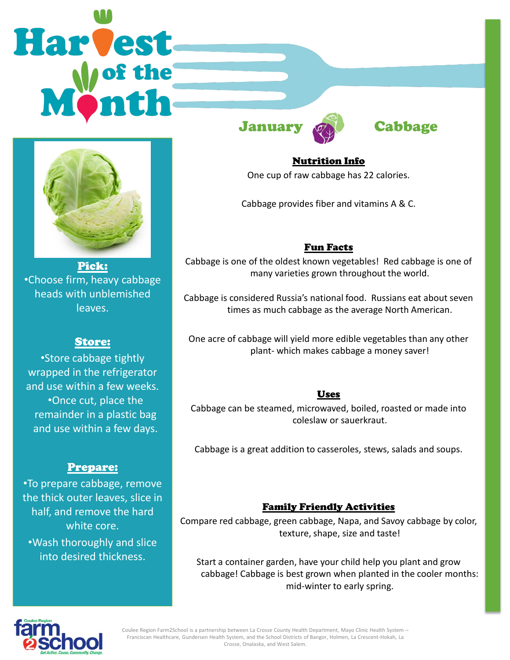# **Harvest**



Pick: •Choose firm, heavy cabbage heads with unblemished leaves.

# Store:

•Store cabbage tightly wrapped in the refrigerator and use within a few weeks. •Once cut, place the remainder in a plastic bag and use within a few days.

## Prepare:

•To prepare cabbage, remove the thick outer leaves, slice in half, and remove the hard white core. •Wash thoroughly and slice into desired thickness.

January **Cabbage** 

Nutrition Info One cup of raw cabbage has 22 calories.

Cabbage provides fiber and vitamins A & C.

# Fun Facts

Cabbage is one of the oldest known vegetables! Red cabbage is one of many varieties grown throughout the world.

Cabbage is considered Russia's national food. Russians eat about seven times as much cabbage as the average North American.

One acre of cabbage will yield more edible vegetables than any other plant- which makes cabbage a money saver!

## Uses

Cabbage can be steamed, microwaved, boiled, roasted or made into coleslaw or sauerkraut.

Cabbage is a great addition to casseroles, stews, salads and soups.

## Family Friendly Activities

Compare red cabbage, green cabbage, Napa, and Savoy cabbage by color, texture, shape, size and taste!

Start a container garden, have your child help you plant and grow cabbage! Cabbage is best grown when planted in the cooler months: mid-winter to early spring.



Coulee Region Farm2School is a partnership between La Crosse County Health Department, Mayo Clinic Health System – Franciscan Healthcare, Gundersen Health System, and the School Districts of Bangor, Holmen, La Crescent-Hokah, La Crosse, Onalaska, and West Salem.